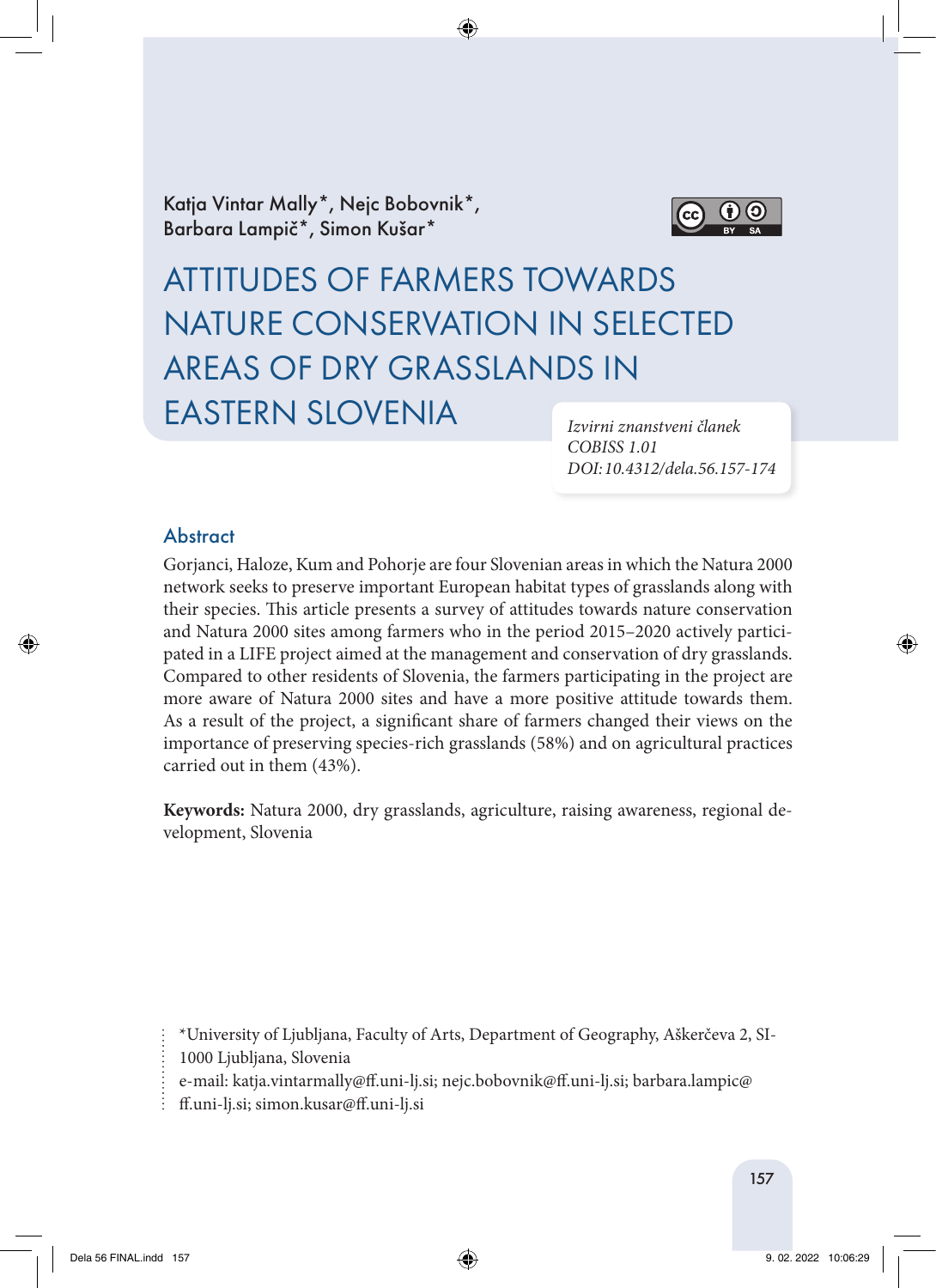Katja Vintar Mally\*, Nejc Bobovnik\*, Barbara Lampič\*, Simon Kušar\*



# ATTITUDES OF FARMERS TOWARDS NATURE CONSERVATION IN SELECTED AREAS OF DRY GRASSLANDS IN EASTERN SLOVENIA

*Izvirni znanstveni članek COBISS 1.01 DOI: 10.4312/dela.56.157-174*

# **Abstract**

Gorjanci, Haloze, Kum and Pohorje are four Slovenian areas in which the Natura 2000 network seeks to preserve important European habitat types of grasslands along with their species. This article presents a survey of attitudes towards nature conservation and Natura 2000 sites among farmers who in the period 2015–2020 actively participated in a LIFE project aimed at the management and conservation of dry grasslands. Compared to other residents of Slovenia, the farmers participating in the project are more aware of Natura 2000 sites and have a more positive attitude towards them. As a result of the project, a significant share of farmers changed their views on the importance of preserving species-rich grasslands (58%) and on agricultural practices carried out in them (43%).

**Keywords:** Natura 2000, dry grasslands, agriculture, raising awareness, regional development, Slovenia

\*University of Ljubljana, Faculty of Arts, Department of Geography, Aškerčeva 2, SI-

1000 Ljubljana, Slovenia

e-mail: katja.vintarmally@ff.uni-lj.si; nejc.bobovnik@ff.uni-lj.si; barbara.lampic@

 $\vdots$  ff.uni-lj.si; simon.kusar@ff.uni-lj.si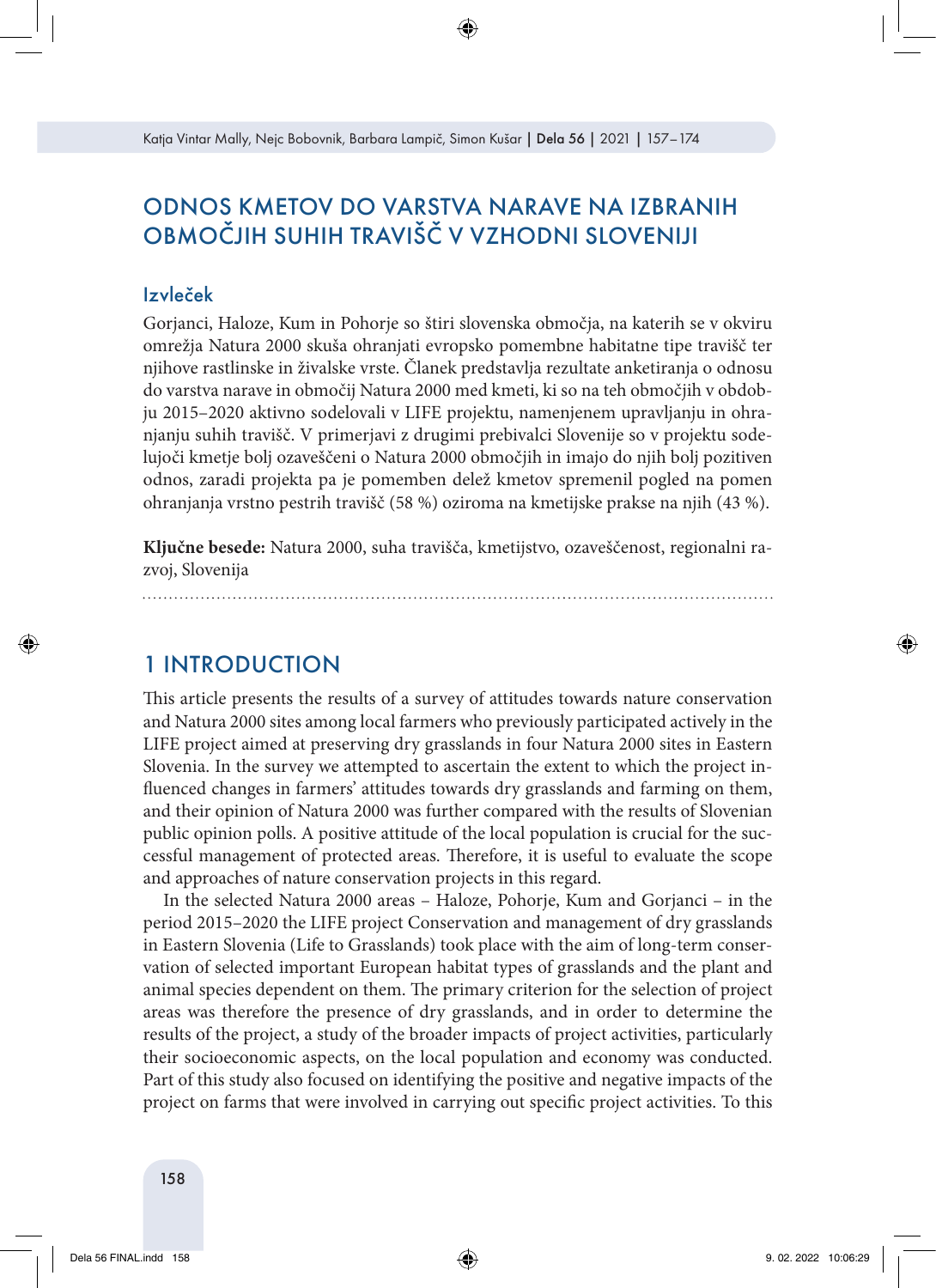# ODNOS KMETOV DO VARSTVA NARAVE NA IZBRANIH OBMOČJIH SUHIH TRAVIŠČ V VZHODNI SLOVENIJI

### Izvleček

Gorjanci, Haloze, Kum in Pohorje so štiri slovenska območja, na katerih se v okviru omrežja Natura 2000 skuša ohranjati evropsko pomembne habitatne tipe travišč ter njihove rastlinske in živalske vrste. Članek predstavlja rezultate anketiranja o odnosu do varstva narave in območij Natura 2000 med kmeti, ki so na teh območjih v obdobju 2015–2020 aktivno sodelovali v LIFE projektu, namenjenem upravljanju in ohranjanju suhih travišč. V primerjavi z drugimi prebivalci Slovenije so v projektu sodelujoči kmetje bolj ozaveščeni o Natura 2000 območjih in imajo do njih bolj pozitiven odnos, zaradi projekta pa je pomemben delež kmetov spremenil pogled na pomen ohranjanja vrstno pestrih travišč (58 %) oziroma na kmetijske prakse na njih (43 %).

**Ključne besede:** Natura 2000, suha travišča, kmetijstvo, ozaveščenost, regionalni razvoj, Slovenija

1 INTRODUCTION

This article presents the results of a survey of attitudes towards nature conservation and Natura 2000 sites among local farmers who previously participated actively in the LIFE project aimed at preserving dry grasslands in four Natura 2000 sites in Eastern Slovenia. In the survey we attempted to ascertain the extent to which the project influenced changes in farmers' attitudes towards dry grasslands and farming on them, and their opinion of Natura 2000 was further compared with the results of Slovenian public opinion polls. A positive attitude of the local population is crucial for the successful management of protected areas. Therefore, it is useful to evaluate the scope and approaches of nature conservation projects in this regard.

In the selected Natura 2000 areas – Haloze, Pohorje, Kum and Gorjanci – in the period 2015–2020 the LIFE project Conservation and management of dry grasslands in Eastern Slovenia (Life to Grasslands) took place with the aim of long-term conservation of selected important European habitat types of grasslands and the plant and animal species dependent on them. The primary criterion for the selection of project areas was therefore the presence of dry grasslands, and in order to determine the results of the project, a study of the broader impacts of project activities, particularly their socioeconomic aspects, on the local population and economy was conducted. Part of this study also focused on identifying the positive and negative impacts of the project on farms that were involved in carrying out specific project activities. To this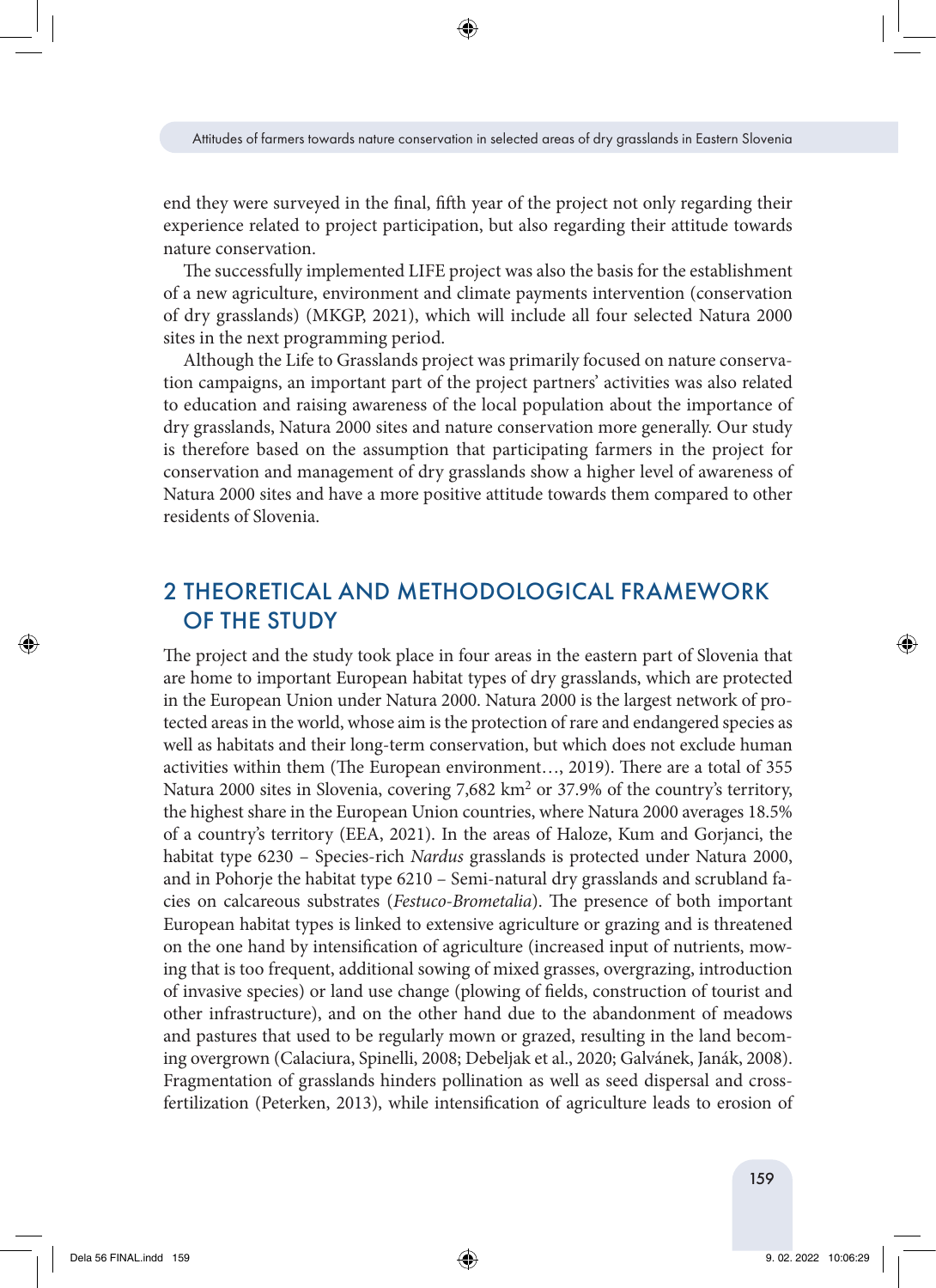end they were surveyed in the final, fifth year of the project not only regarding their experience related to project participation, but also regarding their attitude towards nature conservation.

The successfully implemented LIFE project was also the basis for the establishment of a new agriculture, environment and climate payments intervention (conservation of dry grasslands) (MKGP, 2021), which will include all four selected Natura 2000 sites in the next programming period.

Although the Life to Grasslands project was primarily focused on nature conservation campaigns, an important part of the project partners' activities was also related to education and raising awareness of the local population about the importance of dry grasslands, Natura 2000 sites and nature conservation more generally. Our study is therefore based on the assumption that participating farmers in the project for conservation and management of dry grasslands show a higher level of awareness of Natura 2000 sites and have a more positive attitude towards them compared to other residents of Slovenia.

# 2 THEORETICAL AND METHODOLOGICAL FRAMEWORK OF THE STUDY

The project and the study took place in four areas in the eastern part of Slovenia that are home to important European habitat types of dry grasslands, which are protected in the European Union under Natura 2000. Natura 2000 is the largest network of protected areas in the world, whose aim is the protection of rare and endangered species as well as habitats and their long-term conservation, but which does not exclude human activities within them (The European environment…, 2019). There are a total of 355 Natura 2000 sites in Slovenia, covering 7,682 km<sup>2</sup> or 37.9% of the country's territory, the highest share in the European Union countries, where Natura 2000 averages 18.5% of a country's territory (EEA, 2021). In the areas of Haloze, Kum and Gorjanci, the habitat type 6230 – Species-rich *Nardus* grasslands is protected under Natura 2000, and in Pohorje the habitat type 6210 – Semi-natural dry grasslands and scrubland facies on calcareous substrates (*Festuco-Brometalia*). The presence of both important European habitat types is linked to extensive agriculture or grazing and is threatened on the one hand by intensification of agriculture (increased input of nutrients, mowing that is too frequent, additional sowing of mixed grasses, overgrazing, introduction of invasive species) or land use change (plowing of fields, construction of tourist and other infrastructure), and on the other hand due to the abandonment of meadows and pastures that used to be regularly mown or grazed, resulting in the land becoming overgrown (Calaciura, Spinelli, 2008; Debeljak et al., 2020; Galvánek, Janák, 2008). Fragmentation of grasslands hinders pollination as well as seed dispersal and crossfertilization (Peterken, 2013), while intensification of agriculture leads to erosion of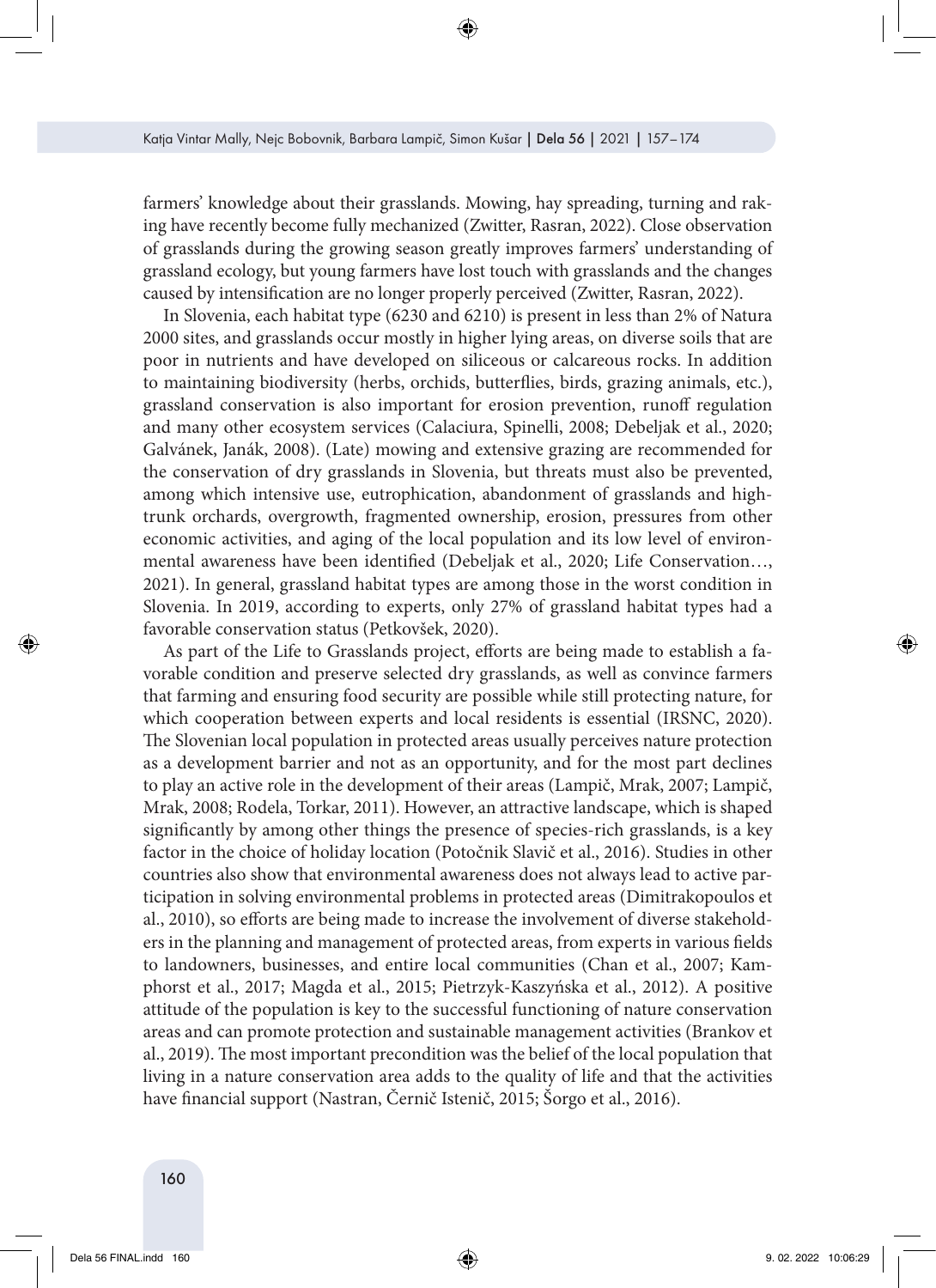farmers' knowledge about their grasslands. Mowing, hay spreading, turning and raking have recently become fully mechanized (Zwitter, Rasran, 2022). Close observation of grasslands during the growing season greatly improves farmers' understanding of grassland ecology, but young farmers have lost touch with grasslands and the changes caused by intensification are no longer properly perceived (Zwitter, Rasran, 2022).

In Slovenia, each habitat type (6230 and 6210) is present in less than 2% of Natura 2000 sites, and grasslands occur mostly in higher lying areas, on diverse soils that are poor in nutrients and have developed on siliceous or calcareous rocks. In addition to maintaining biodiversity (herbs, orchids, butterflies, birds, grazing animals, etc.), grassland conservation is also important for erosion prevention, runoff regulation and many other ecosystem services (Calaciura, Spinelli, 2008; Debeljak et al., 2020; Galvánek, Janák, 2008). (Late) mowing and extensive grazing are recommended for the conservation of dry grasslands in Slovenia, but threats must also be prevented, among which intensive use, eutrophication, abandonment of grasslands and hightrunk orchards, overgrowth, fragmented ownership, erosion, pressures from other economic activities, and aging of the local population and its low level of environmental awareness have been identified (Debeljak et al., 2020; Life Conservation…, 2021). In general, grassland habitat types are among those in the worst condition in Slovenia. In 2019, according to experts, only 27% of grassland habitat types had a favorable conservation status (Petkovšek, 2020).

As part of the Life to Grasslands project, efforts are being made to establish a favorable condition and preserve selected dry grasslands, as well as convince farmers that farming and ensuring food security are possible while still protecting nature, for which cooperation between experts and local residents is essential (IRSNC, 2020). The Slovenian local population in protected areas usually perceives nature protection as a development barrier and not as an opportunity, and for the most part declines to play an active role in the development of their areas (Lampič, Mrak, 2007; Lampič, Mrak, 2008; Rodela, Torkar, 2011). However, an attractive landscape, which is shaped significantly by among other things the presence of species-rich grasslands, is a key factor in the choice of holiday location (Potočnik Slavič et al., 2016). Studies in other countries also show that environmental awareness does not always lead to active participation in solving environmental problems in protected areas (Dimitrakopoulos et al., 2010), so efforts are being made to increase the involvement of diverse stakeholders in the planning and management of protected areas, from experts in various fields to landowners, businesses, and entire local communities (Chan et al., 2007; Kamphorst et al., 2017; Magda et al., 2015; Pietrzyk-Kaszyńska et al., 2012). A positive attitude of the population is key to the successful functioning of nature conservation areas and can promote protection and sustainable management activities (Brankov et al., 2019). The most important precondition was the belief of the local population that living in a nature conservation area adds to the quality of life and that the activities have financial support (Nastran, Černič Istenič, 2015; Šorgo et al., 2016).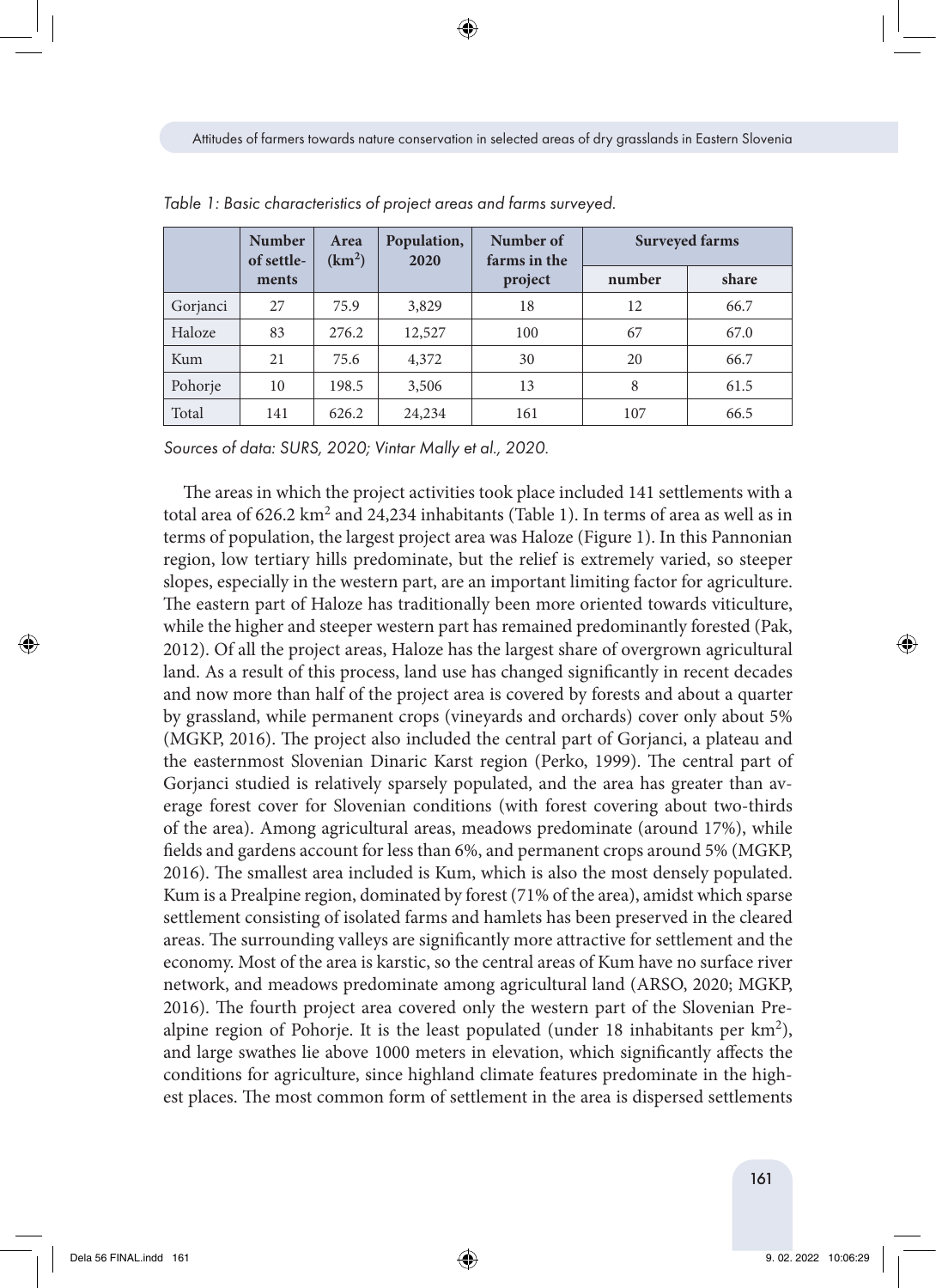|          | <b>Number</b><br>of settle- | Area<br>(km <sup>2</sup> ) | Population,<br>2020 | Number of<br>farms in the | <b>Surveyed farms</b> |       |  |
|----------|-----------------------------|----------------------------|---------------------|---------------------------|-----------------------|-------|--|
|          | ments                       |                            |                     | project                   | number                | share |  |
| Gorjanci | 27                          | 75.9                       | 3,829               | 18                        | 12                    | 66.7  |  |
| Haloze   | 83                          | 276.2                      | 12,527              | 100                       | 67                    | 67.0  |  |
| Kum      | 21                          | 75.6                       | 4,372               | 30                        | 20                    | 66.7  |  |
| Pohorje  | 10                          | 198.5                      | 3,506               | 13                        | 8                     | 61.5  |  |
| Total    | 141                         | 626.2                      | 24,234              | 161                       | 107                   | 66.5  |  |

*Table 1: Basic characteristics of project areas and farms surveyed.*

*Sources of data: SURS, 2020; Vintar Mally et al., 2020.*

The areas in which the project activities took place included 141 settlements with a total area of  $626.2 \text{ km}^2$  and  $24,234$  inhabitants (Table 1). In terms of area as well as in terms of population, the largest project area was Haloze (Figure 1). In this Pannonian region, low tertiary hills predominate, but the relief is extremely varied, so steeper slopes, especially in the western part, are an important limiting factor for agriculture. The eastern part of Haloze has traditionally been more oriented towards viticulture, while the higher and steeper western part has remained predominantly forested (Pak, 2012). Of all the project areas, Haloze has the largest share of overgrown agricultural land. As a result of this process, land use has changed significantly in recent decades and now more than half of the project area is covered by forests and about a quarter by grassland, while permanent crops (vineyards and orchards) cover only about 5% (MGKP, 2016). The project also included the central part of Gorjanci, a plateau and the easternmost Slovenian Dinaric Karst region (Perko, 1999). The central part of Gorjanci studied is relatively sparsely populated, and the area has greater than average forest cover for Slovenian conditions (with forest covering about two-thirds of the area). Among agricultural areas, meadows predominate (around 17%), while fields and gardens account for less than 6%, and permanent crops around 5% (MGKP, 2016). The smallest area included is Kum, which is also the most densely populated. Kum is a Prealpine region, dominated by forest (71% of the area), amidst which sparse settlement consisting of isolated farms and hamlets has been preserved in the cleared areas. The surrounding valleys are significantly more attractive for settlement and the economy. Most of the area is karstic, so the central areas of Kum have no surface river network, and meadows predominate among agricultural land (ARSO, 2020; MGKP, 2016). The fourth project area covered only the western part of the Slovenian Prealpine region of Pohorje. It is the least populated (under 18 inhabitants per  $km^2$ ), and large swathes lie above 1000 meters in elevation, which significantly affects the conditions for agriculture, since highland climate features predominate in the highest places. The most common form of settlement in the area is dispersed settlements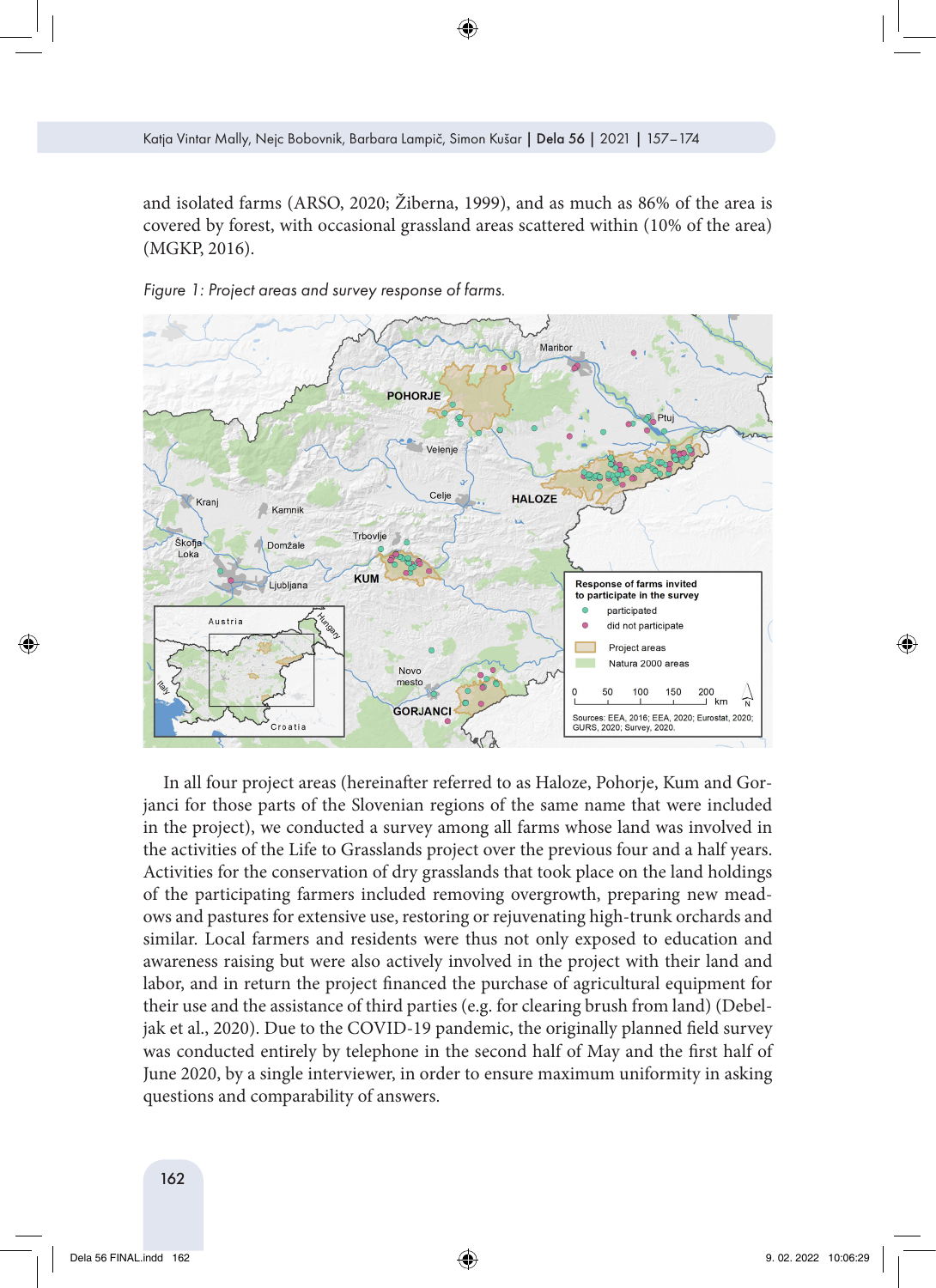and isolated farms (ARSO, 2020; Žiberna, 1999), and as much as 86% of the area is covered by forest, with occasional grassland areas scattered within (10% of the area) (MGKP, 2016).



*Figure 1: Project areas and survey response of farms.*

In all four project areas (hereinafter referred to as Haloze, Pohorje, Kum and Gorjanci for those parts of the Slovenian regions of the same name that were included in the project), we conducted a survey among all farms whose land was involved in the activities of the Life to Grasslands project over the previous four and a half years. Activities for the conservation of dry grasslands that took place on the land holdings of the participating farmers included removing overgrowth, preparing new meadows and pastures for extensive use, restoring or rejuvenating high-trunk orchards and similar. Local farmers and residents were thus not only exposed to education and awareness raising but were also actively involved in the project with their land and labor, and in return the project financed the purchase of agricultural equipment for their use and the assistance of third parties (e.g. for clearing brush from land) (Debeljak et al., 2020). Due to the COVID-19 pandemic, the originally planned field survey was conducted entirely by telephone in the second half of May and the first half of June 2020, by a single interviewer, in order to ensure maximum uniformity in asking questions and comparability of answers.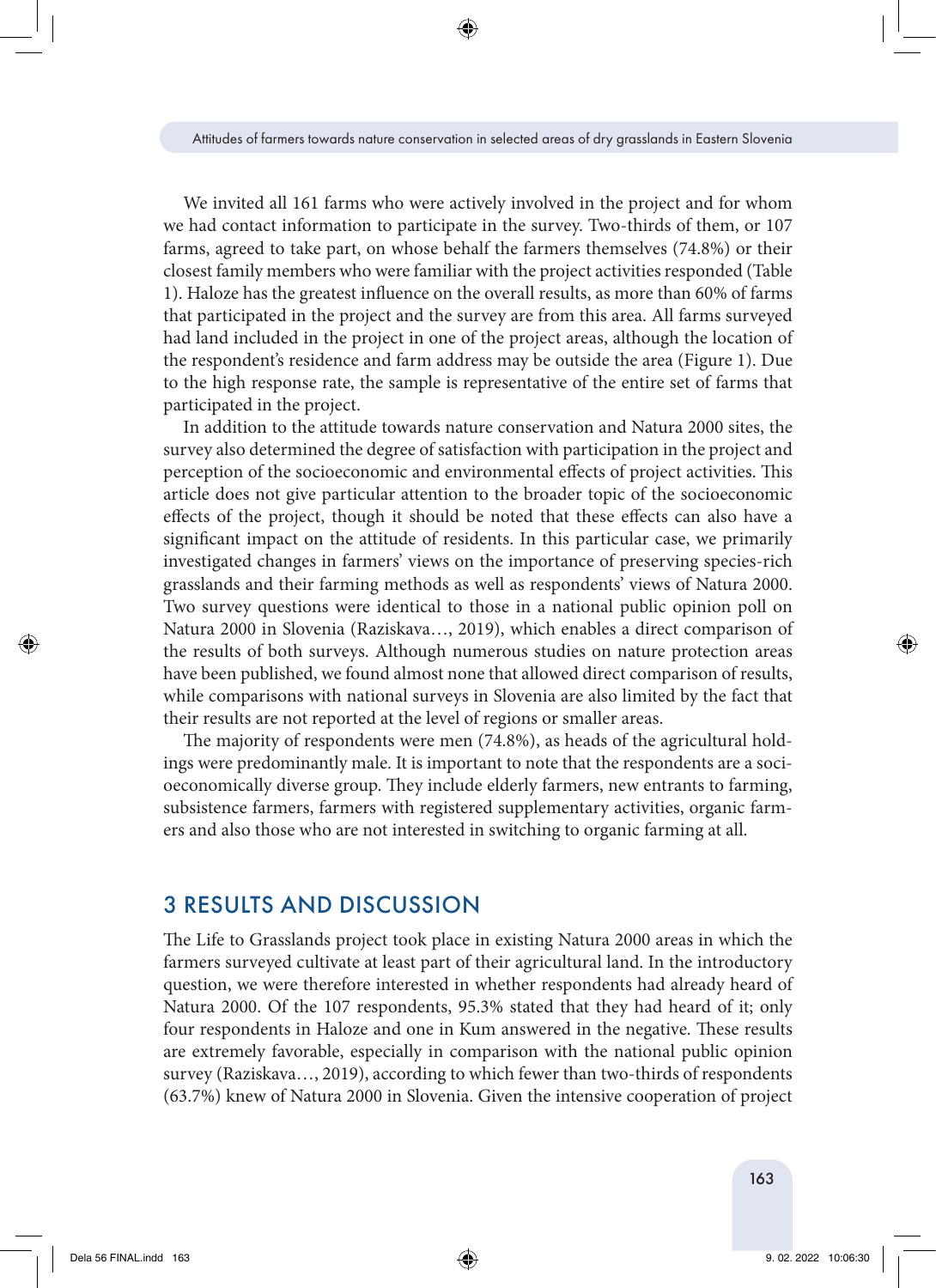We invited all 161 farms who were actively involved in the project and for whom we had contact information to participate in the survey. Two-thirds of them, or 107 farms, agreed to take part, on whose behalf the farmers themselves (74.8%) or their closest family members who were familiar with the project activities responded (Table 1). Haloze has the greatest influence on the overall results, as more than 60% of farms that participated in the project and the survey are from this area. All farms surveyed had land included in the project in one of the project areas, although the location of the respondent's residence and farm address may be outside the area (Figure 1). Due to the high response rate, the sample is representative of the entire set of farms that participated in the project.

In addition to the attitude towards nature conservation and Natura 2000 sites, the survey also determined the degree of satisfaction with participation in the project and perception of the socioeconomic and environmental effects of project activities. This article does not give particular attention to the broader topic of the socioeconomic effects of the project, though it should be noted that these effects can also have a significant impact on the attitude of residents. In this particular case, we primarily investigated changes in farmers' views on the importance of preserving species-rich grasslands and their farming methods as well as respondents' views of Natura 2000. Two survey questions were identical to those in a national public opinion poll on Natura 2000 in Slovenia (Raziskava…, 2019), which enables a direct comparison of the results of both surveys. Although numerous studies on nature protection areas have been published, we found almost none that allowed direct comparison of results, while comparisons with national surveys in Slovenia are also limited by the fact that their results are not reported at the level of regions or smaller areas.

The majority of respondents were men (74.8%), as heads of the agricultural holdings were predominantly male. It is important to note that the respondents are a socioeconomically diverse group. They include elderly farmers, new entrants to farming, subsistence farmers, farmers with registered supplementary activities, organic farmers and also those who are not interested in switching to organic farming at all.

# 3 RESULTS AND DISCUSSION

The Life to Grasslands project took place in existing Natura 2000 areas in which the farmers surveyed cultivate at least part of their agricultural land. In the introductory question, we were therefore interested in whether respondents had already heard of Natura 2000. Of the 107 respondents, 95.3% stated that they had heard of it; only four respondents in Haloze and one in Kum answered in the negative. These results are extremely favorable, especially in comparison with the national public opinion survey (Raziskava…, 2019), according to which fewer than two-thirds of respondents (63.7%) knew of Natura 2000 in Slovenia. Given the intensive cooperation of project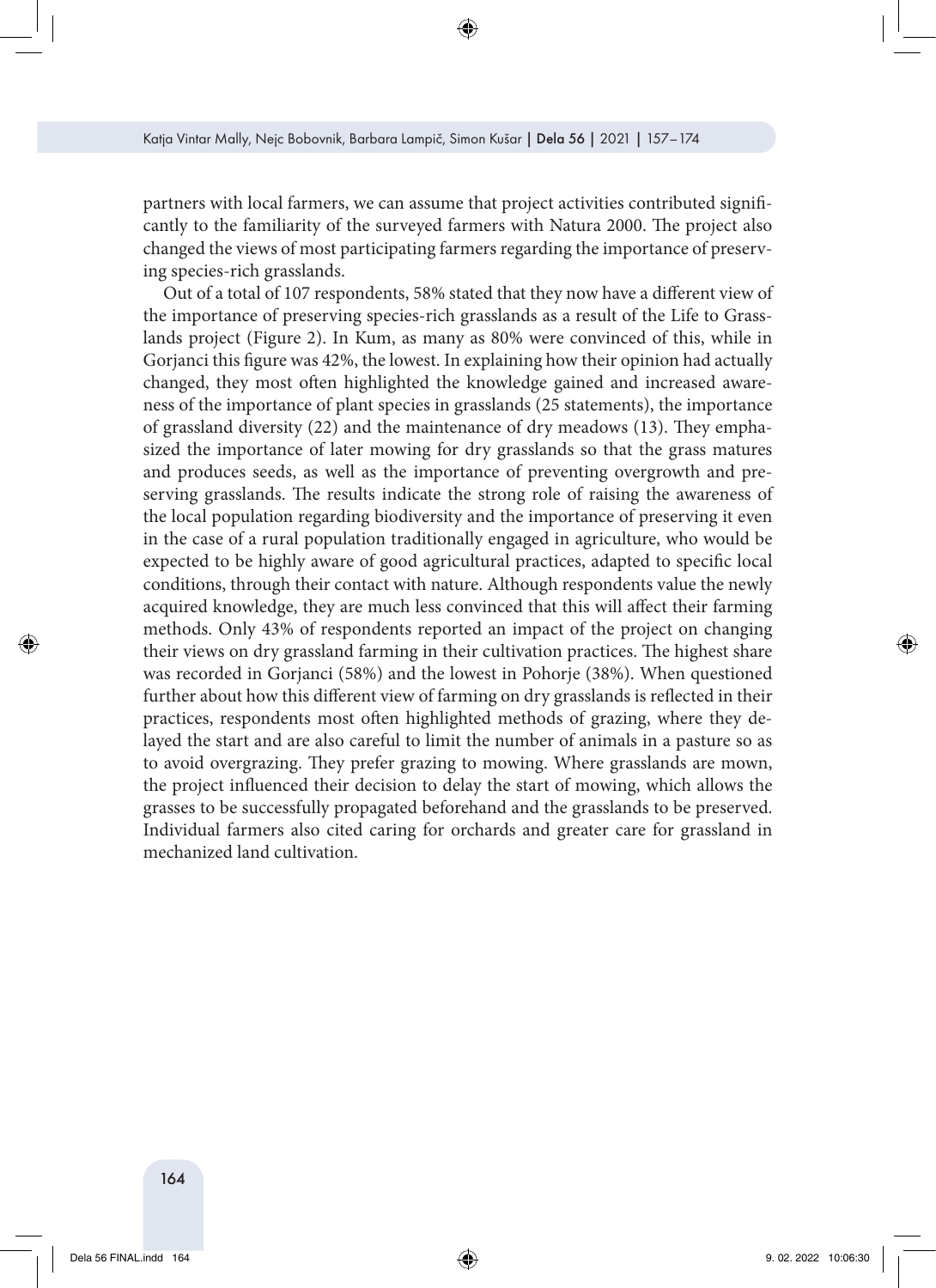partners with local farmers, we can assume that project activities contributed significantly to the familiarity of the surveyed farmers with Natura 2000. The project also changed the views of most participating farmers regarding the importance of preserving species-rich grasslands.

Out of a total of 107 respondents, 58% stated that they now have a different view of the importance of preserving species-rich grasslands as a result of the Life to Grasslands project (Figure 2). In Kum, as many as 80% were convinced of this, while in Gorjanci this figure was 42%, the lowest. In explaining how their opinion had actually changed, they most often highlighted the knowledge gained and increased awareness of the importance of plant species in grasslands (25 statements), the importance of grassland diversity  $(22)$  and the maintenance of dry meadows  $(13)$ . They emphasized the importance of later mowing for dry grasslands so that the grass matures and produces seeds, as well as the importance of preventing overgrowth and preserving grasslands. The results indicate the strong role of raising the awareness of the local population regarding biodiversity and the importance of preserving it even in the case of a rural population traditionally engaged in agriculture, who would be expected to be highly aware of good agricultural practices, adapted to specific local conditions, through their contact with nature. Although respondents value the newly acquired knowledge, they are much less convinced that this will affect their farming methods. Only 43% of respondents reported an impact of the project on changing their views on dry grassland farming in their cultivation practices. The highest share was recorded in Gorjanci (58%) and the lowest in Pohorje (38%). When questioned further about how this different view of farming on dry grasslands is reflected in their practices, respondents most often highlighted methods of grazing, where they delayed the start and are also careful to limit the number of animals in a pasture so as to avoid overgrazing. They prefer grazing to mowing. Where grasslands are mown, the project influenced their decision to delay the start of mowing, which allows the grasses to be successfully propagated beforehand and the grasslands to be preserved. Individual farmers also cited caring for orchards and greater care for grassland in mechanized land cultivation.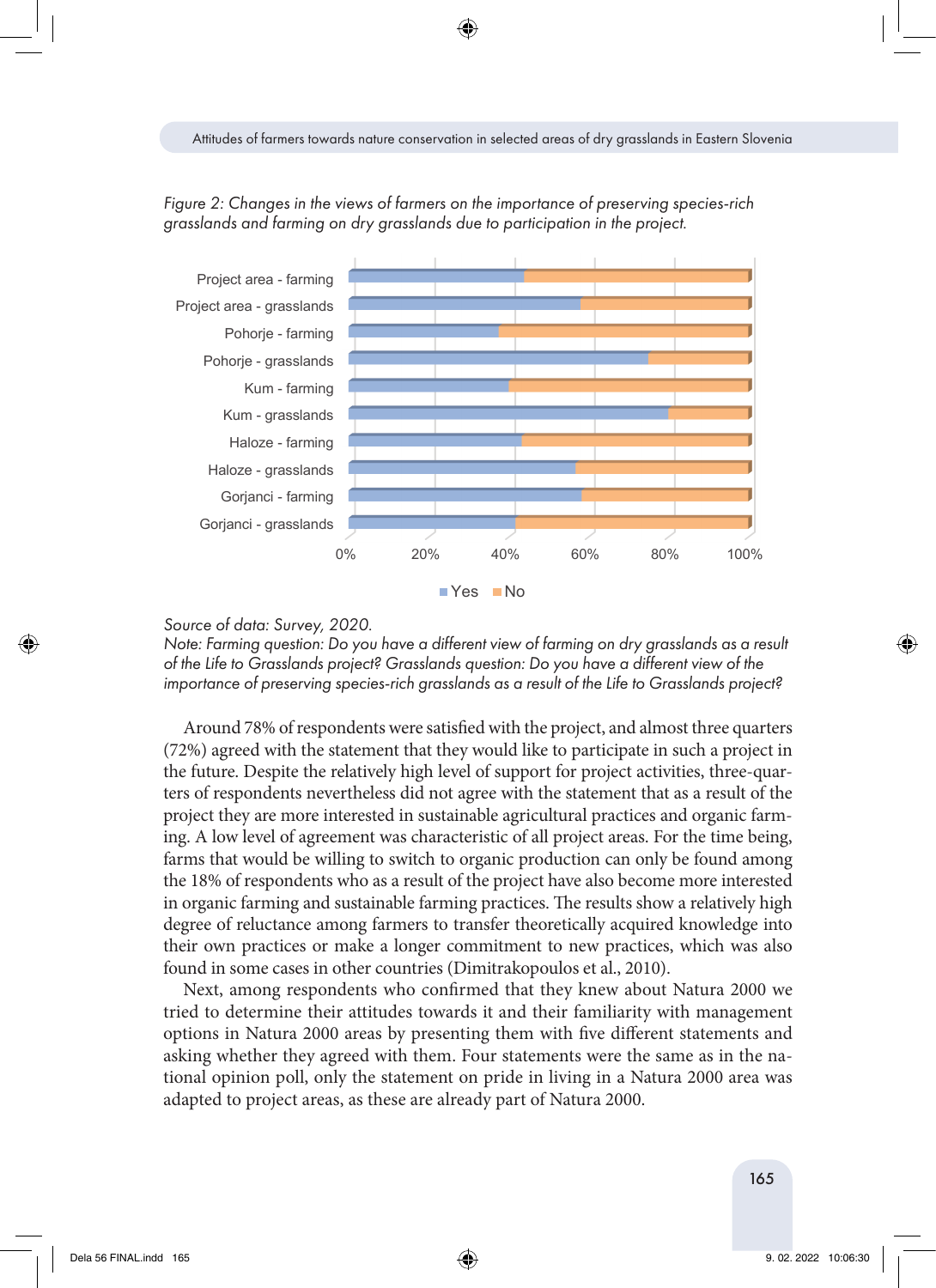



*Source of data: Survey, 2020.*

*Note: Farming question: Do you have a different view of farming on dry grasslands as a result of the Life to Grasslands project? Grasslands question: Do you have a different view of the*  importance of preserving species-rich grasslands as a result of the Life to Grasslands project?

Around 78% of respondents were satisfied with the project, and almost three quarters (72%) agreed with the statement that they would like to participate in such a project in the future. Despite the relatively high level of support for project activities, three-quarters of respondents nevertheless did not agree with the statement that as a result of the project they are more interested in sustainable agricultural practices and organic farming. A low level of agreement was characteristic of all project areas. For the time being, farms that would be willing to switch to organic production can only be found among the 18% of respondents who as a result of the project have also become more interested in organic farming and sustainable farming practices. The results show a relatively high degree of reluctance among farmers to transfer theoretically acquired knowledge into their own practices or make a longer commitment to new practices, which was also found in some cases in other countries (Dimitrakopoulos et al., 2010).  $\frac{1}{2}$  ascs in other countries (Dimitratopouros et al., 2010).

Next, among respondents who confirmed that they knew about Natura 2000 we tried to determine their attitudes towards it and their familiarity with management options in Natura 2000 areas by presenting them with five different statements and asking whether they agreed with them. Four statements were the same as in the national opinion poll, only the statement on pride in living in a Natura 2000 area was adapted to project areas, as these are already part of Natura 2000.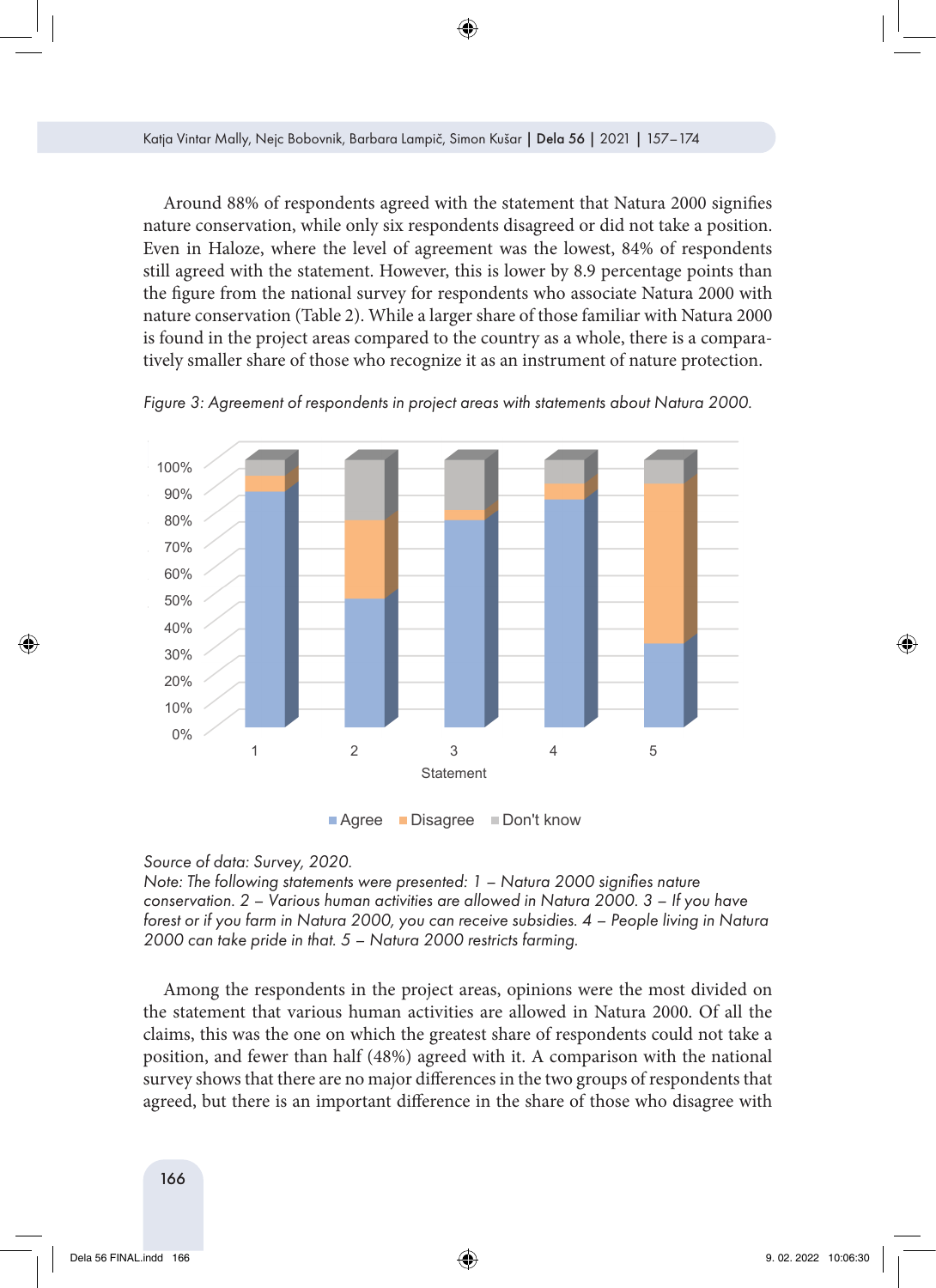Around 88% of respondents agreed with the statement that Natura 2000 signifies nature conservation, while only six respondents disagreed or did not take a position. Even in Haloze, where the level of agreement was the lowest, 84% of respondents still agreed with the statement. However, this is lower by 8.9 percentage points than the figure from the national survey for respondents who associate Natura 2000 with the factor of the farming  $\sigma_{\text{max}}$ nature conservation (Table 2). While a larger share of those familiar with Natura 2000 is found in the project areas compared to the country as a whole, there is a comparatively smaller share of those who recognize it as an instrument of nature protection.



*Figure 3: Agreement of respondents in project areas with statements about Natura 2000.*

**Agree Disagree Don't know** 

#### *Source of data: Survey, 2020.*

*Note: The following statements were presented: 1 – Natura 2000 signifies nature conservation. 2 – Various human activities are allowed in Natura 2000. 3 – If you have forest or if you farm in Natura 2000, you can receive subsidies. 4 – People living in Natura 2000 can take pride in that. 5 – Natura 2000 restricts farming.*

Among the respondents in the project areas, opinions were the most divided on the statement that various human activities are allowed in Natura 2000. Of all the claims, this was the one on which the greatest share of respondents could not take a position, and fewer than half (48%) agreed with it. A comparison with the national survey shows that there are no major differences in the two groups of respondents that agreed, but there is an important difference in the share of those who disagree with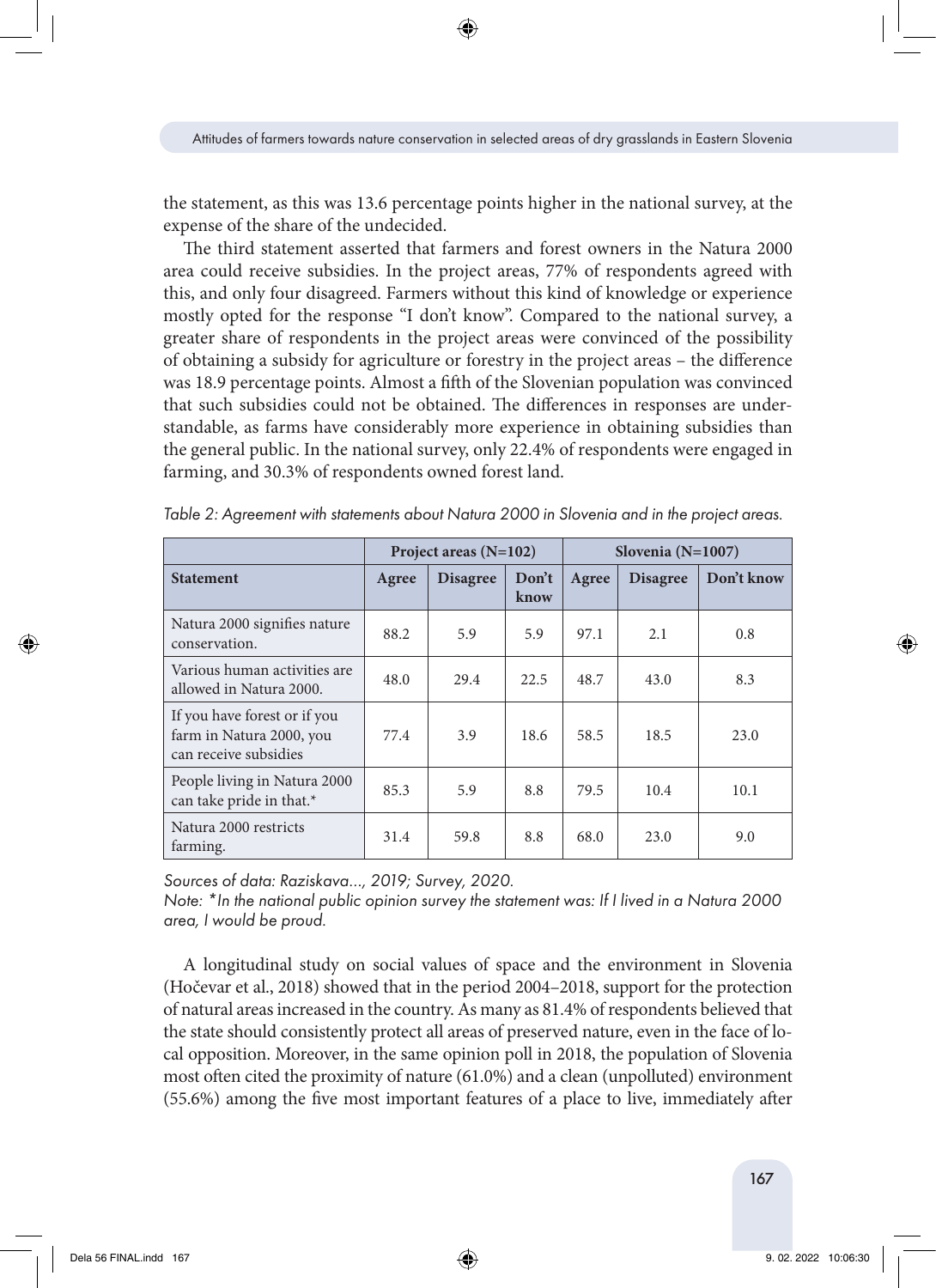the statement, as this was 13.6 percentage points higher in the national survey, at the expense of the share of the undecided.

The third statement asserted that farmers and forest owners in the Natura 2000 area could receive subsidies. In the project areas, 77% of respondents agreed with this, and only four disagreed. Farmers without this kind of knowledge or experience mostly opted for the response "I don't know". Compared to the national survey, a greater share of respondents in the project areas were convinced of the possibility of obtaining a subsidy for agriculture or forestry in the project areas – the difference was 18.9 percentage points. Almost a fifth of the Slovenian population was convinced that such subsidies could not be obtained. The differences in responses are understandable, as farms have considerably more experience in obtaining subsidies than the general public. In the national survey, only 22.4% of respondents were engaged in farming, and 30.3% of respondents owned forest land.

|                                                                                   | Project areas $(N=102)$ |                 |               | Slovenia $(N=1007)$ |                 |            |
|-----------------------------------------------------------------------------------|-------------------------|-----------------|---------------|---------------------|-----------------|------------|
| <b>Statement</b>                                                                  | Agree                   | <b>Disagree</b> | Don't<br>know | Agree               | <b>Disagree</b> | Don't know |
| Natura 2000 signifies nature<br>conservation.                                     | 88.2                    | 5.9             | 5.9           | 97.1                | 2.1             | 0.8        |
| Various human activities are<br>allowed in Natura 2000.                           | 48.0                    | 29.4            | 22.5          | 48.7                | 43.0            | 8.3        |
| If you have forest or if you<br>farm in Natura 2000, you<br>can receive subsidies | 77.4                    | 3.9             | 18.6          | 58.5                | 18.5            | 23.0       |
| People living in Natura 2000<br>can take pride in that.*                          | 85.3                    | 5.9             | 8.8           | 79.5                | 10.4            | 10.1       |
| Natura 2000 restricts<br>farming.                                                 | 31.4                    | 59.8            | 8.8           | 68.0                | 23.0            | 9.0        |

*Table 2: Agreement with statements about Natura 2000 in Slovenia and in the project areas.*

*Sources of data: Raziskava…, 2019; Survey, 2020.*

*Note: \*In the national public opinion survey the statement was: If I lived in a Natura 2000 area, I would be proud.*

A longitudinal study on social values of space and the environment in Slovenia (Hočevar et al., 2018) showed that in the period 2004–2018, support for the protection of natural areas increased in the country. As many as 81.4% of respondents believed that the state should consistently protect all areas of preserved nature, even in the face of local opposition. Moreover, in the same opinion poll in 2018, the population of Slovenia most often cited the proximity of nature (61.0%) and a clean (unpolluted) environment (55.6%) among the five most important features of a place to live, immediately after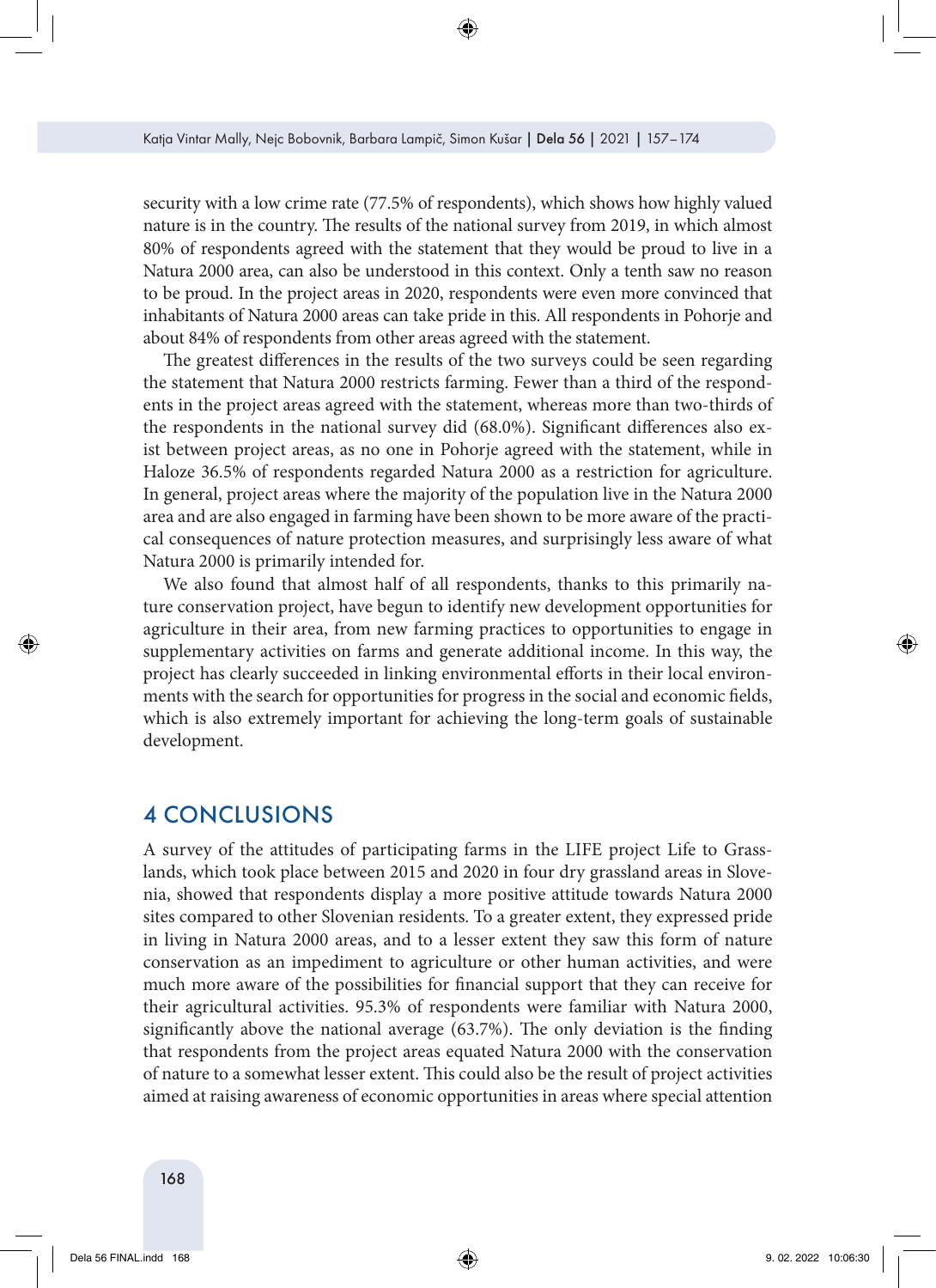security with a low crime rate (77.5% of respondents), which shows how highly valued nature is in the country. The results of the national survey from 2019, in which almost 80% of respondents agreed with the statement that they would be proud to live in a Natura 2000 area, can also be understood in this context. Only a tenth saw no reason to be proud. In the project areas in 2020, respondents were even more convinced that inhabitants of Natura 2000 areas can take pride in this. All respondents in Pohorje and about 84% of respondents from other areas agreed with the statement.

The greatest differences in the results of the two surveys could be seen regarding the statement that Natura 2000 restricts farming. Fewer than a third of the respondents in the project areas agreed with the statement, whereas more than two-thirds of the respondents in the national survey did (68.0%). Significant differences also exist between project areas, as no one in Pohorje agreed with the statement, while in Haloze 36.5% of respondents regarded Natura 2000 as a restriction for agriculture. In general, project areas where the majority of the population live in the Natura 2000 area and are also engaged in farming have been shown to be more aware of the practical consequences of nature protection measures, and surprisingly less aware of what Natura 2000 is primarily intended for.

We also found that almost half of all respondents, thanks to this primarily nature conservation project, have begun to identify new development opportunities for agriculture in their area, from new farming practices to opportunities to engage in supplementary activities on farms and generate additional income. In this way, the project has clearly succeeded in linking environmental efforts in their local environments with the search for opportunities for progress in the social and economic fields, which is also extremely important for achieving the long-term goals of sustainable development.

# 4 CONCLUSIONS

A survey of the attitudes of participating farms in the LIFE project Life to Grasslands, which took place between 2015 and 2020 in four dry grassland areas in Slovenia, showed that respondents display a more positive attitude towards Natura 2000 sites compared to other Slovenian residents. To a greater extent, they expressed pride in living in Natura 2000 areas, and to a lesser extent they saw this form of nature conservation as an impediment to agriculture or other human activities, and were much more aware of the possibilities for financial support that they can receive for their agricultural activities. 95.3% of respondents were familiar with Natura 2000, significantly above the national average (63.7%). The only deviation is the finding that respondents from the project areas equated Natura 2000 with the conservation of nature to a somewhat lesser extent. This could also be the result of project activities aimed at raising awareness of economic opportunities in areas where special attention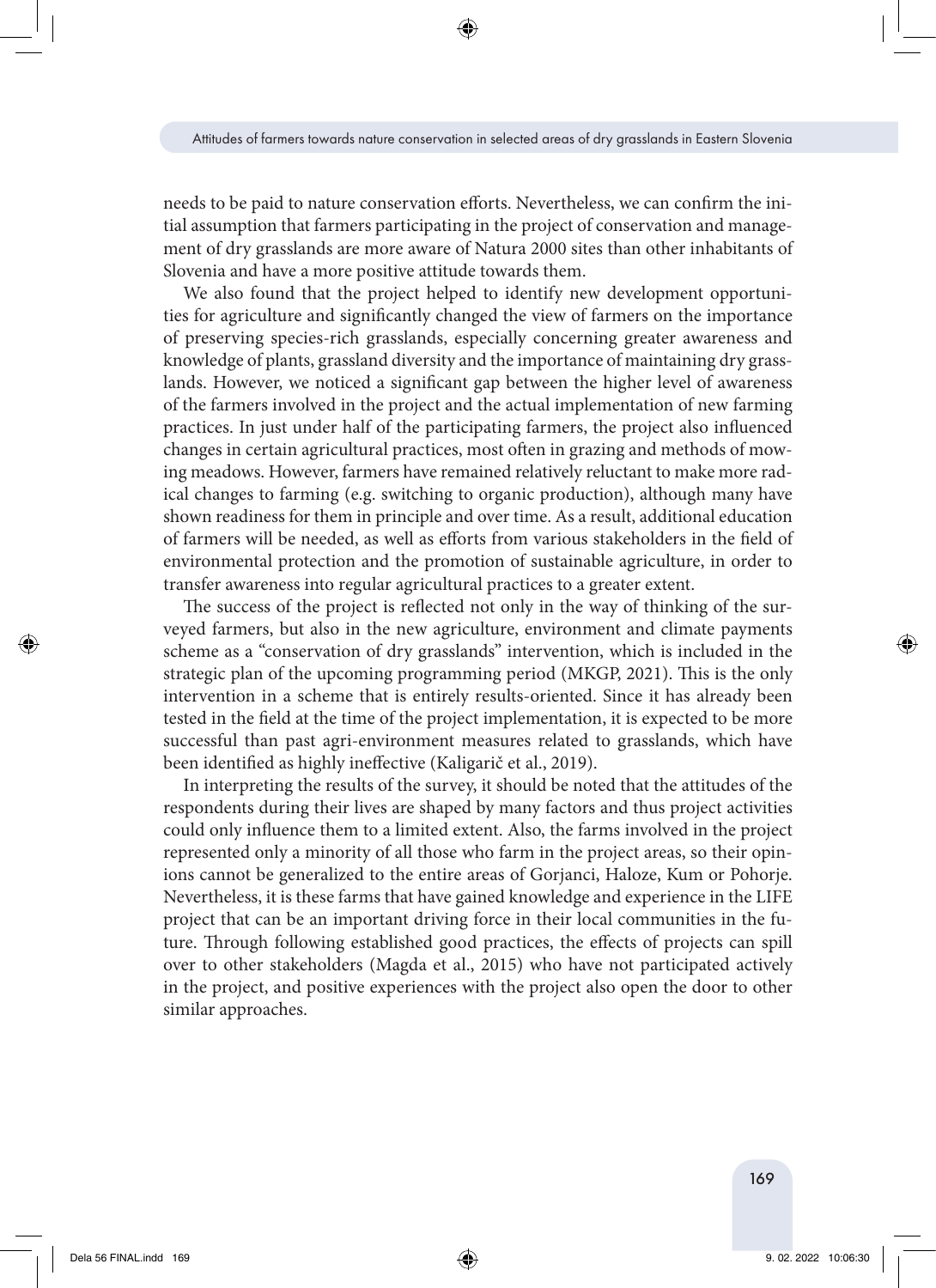needs to be paid to nature conservation efforts. Nevertheless, we can confirm the initial assumption that farmers participating in the project of conservation and management of dry grasslands are more aware of Natura 2000 sites than other inhabitants of Slovenia and have a more positive attitude towards them.

We also found that the project helped to identify new development opportunities for agriculture and significantly changed the view of farmers on the importance of preserving species-rich grasslands, especially concerning greater awareness and knowledge of plants, grassland diversity and the importance of maintaining dry grasslands. However, we noticed a significant gap between the higher level of awareness of the farmers involved in the project and the actual implementation of new farming practices. In just under half of the participating farmers, the project also influenced changes in certain agricultural practices, most often in grazing and methods of mowing meadows. However, farmers have remained relatively reluctant to make more radical changes to farming (e.g. switching to organic production), although many have shown readiness for them in principle and over time. As a result, additional education of farmers will be needed, as well as efforts from various stakeholders in the field of environmental protection and the promotion of sustainable agriculture, in order to transfer awareness into regular agricultural practices to a greater extent.

The success of the project is reflected not only in the way of thinking of the surveyed farmers, but also in the new agriculture, environment and climate payments scheme as a "conservation of dry grasslands" intervention, which is included in the strategic plan of the upcoming programming period (MKGP, 2021). This is the only intervention in a scheme that is entirely results-oriented. Since it has already been tested in the field at the time of the project implementation, it is expected to be more successful than past agri-environment measures related to grasslands, which have been identified as highly ineffective (Kaligarič et al., 2019).

In interpreting the results of the survey, it should be noted that the attitudes of the respondents during their lives are shaped by many factors and thus project activities could only influence them to a limited extent. Also, the farms involved in the project represented only a minority of all those who farm in the project areas, so their opinions cannot be generalized to the entire areas of Gorjanci, Haloze, Kum or Pohorje. Nevertheless, it is these farms that have gained knowledge and experience in the LIFE project that can be an important driving force in their local communities in the future. Through following established good practices, the effects of projects can spill over to other stakeholders (Magda et al., 2015) who have not participated actively in the project, and positive experiences with the project also open the door to other similar approaches.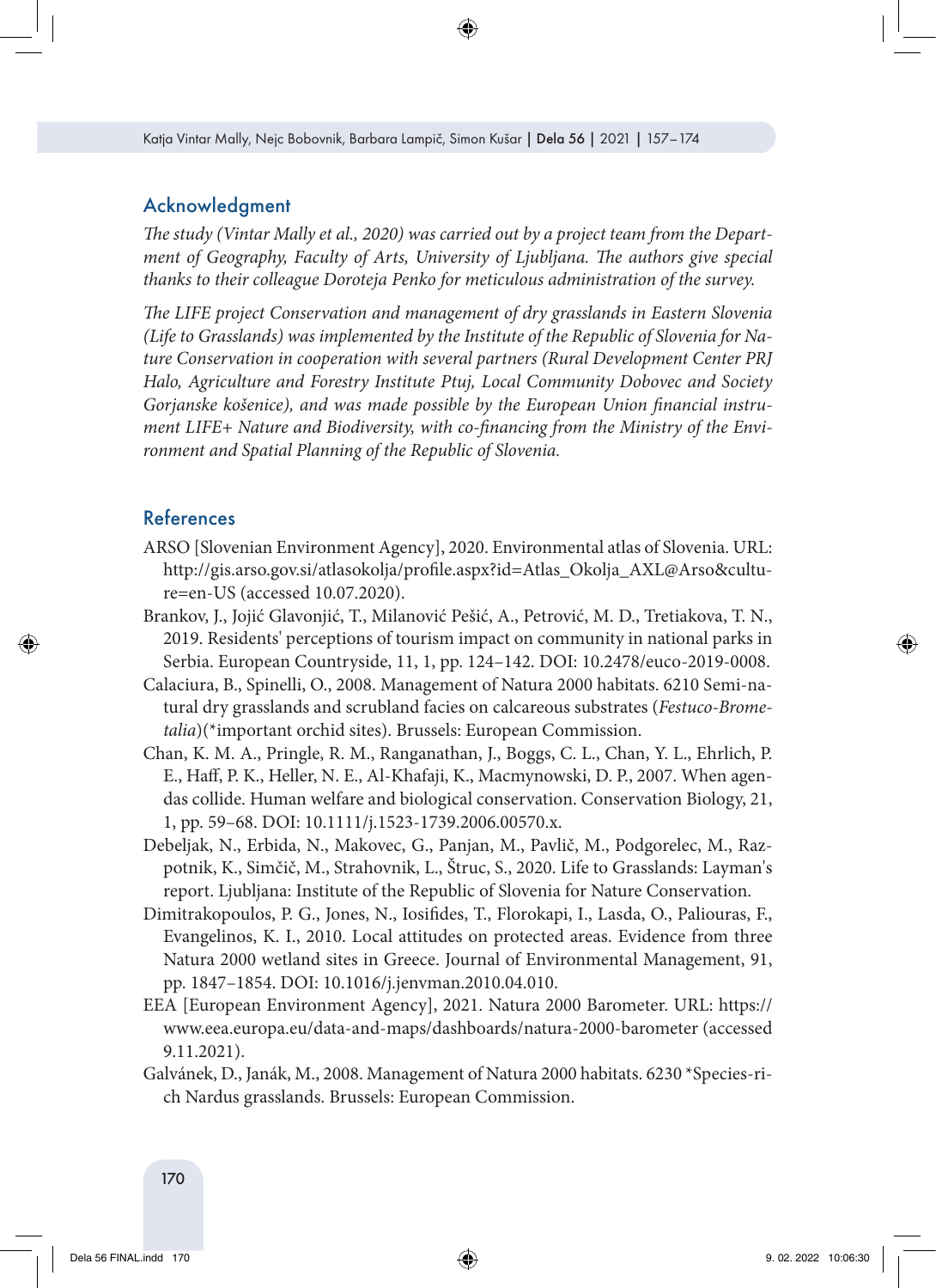### Acknowledgment

*The study (Vintar Mally et al., 2020) was carried out by a project team from the Department of Geography, Faculty of Arts, University of Ljubljana. The authors give special thanks to their colleague Doroteja Penko for meticulous administration of the survey.*

*The LIFE project Conservation and management of dry grasslands in Eastern Slovenia (Life to Grasslands) was implemented by the Institute of the Republic of Slovenia for Nature Conservation in cooperation with several partners (Rural Development Center PRJ Halo, Agriculture and Forestry Institute Ptuj, Local Community Dobovec and Society Gorjanske košenice), and was made possible by the European Union financial instrument LIFE+ Nature and Biodiversity, with co-financing from the Ministry of the Environment and Spatial Planning of the Republic of Slovenia.*

# References

- ARSO [Slovenian Environment Agency], 2020. Environmental atlas of Slovenia. URL: http://gis.arso.gov.si/atlasokolja/profile.aspx?id=Atlas\_Okolja\_AXL@Arso&culture=en-US (accessed 10.07.2020).
- Brankov, J., Jojić Glavonjić, T., Milanović Pešić, A., Petrović, M. D., Tretiakova, T. N., 2019. Residents' perceptions of tourism impact on community in national parks in Serbia. European Countryside, 11, 1, pp. 124–142. DOI: 10.2478/euco-2019-0008.
- Calaciura, B., Spinelli, O., 2008. Management of Natura 2000 habitats. 6210 Semi-natural dry grasslands and scrubland facies on calcareous substrates (*Festuco-Brometalia*)(\*important orchid sites). Brussels: European Commission.
- Chan, K. M. A., Pringle, R. M., Ranganathan, J., Boggs, C. L., Chan, Y. L., Ehrlich, P. E., Haff, P. K., Heller, N. E., Al-Khafaji, K., Macmynowski, D. P., 2007. When agendas collide. Human welfare and biological conservation. Conservation Biology, 21, 1, pp. 59–68. DOI: 10.1111/j.1523-1739.2006.00570.x.
- Debeljak, N., Erbida, N., Makovec, G., Panjan, M., Pavlič, M., Podgorelec, M., Razpotnik, K., Simčič, M., Strahovnik, L., Štruc, S., 2020. Life to Grasslands: Layman's report. Ljubljana: Institute of the Republic of Slovenia for Nature Conservation.
- Dimitrakopoulos, P. G., Jones, N., Iosifides, T., Florokapi, I., Lasda, O., Paliouras, F., Evangelinos, K. I., 2010. Local attitudes on protected areas. Evidence from three Natura 2000 wetland sites in Greece. Journal of Environmental Management, 91, pp. 1847–1854. DOI: 10.1016/j.jenvman.2010.04.010.
- EEA [European Environment Agency], 2021. Natura 2000 Barometer. URL: [https://](https://www.eea.europa.eu/data-and-maps/dashboards/natura-2000-barometer) [www.eea.europa.eu/data-and-maps/dashboards/natura-2000-barometer](https://www.eea.europa.eu/data-and-maps/dashboards/natura-2000-barometer) (accessed 9.11.2021).
- Galvánek, D., Janák, M., 2008. Management of Natura 2000 habitats. 6230 \*Species-rich Nardus grasslands. Brussels: European Commission.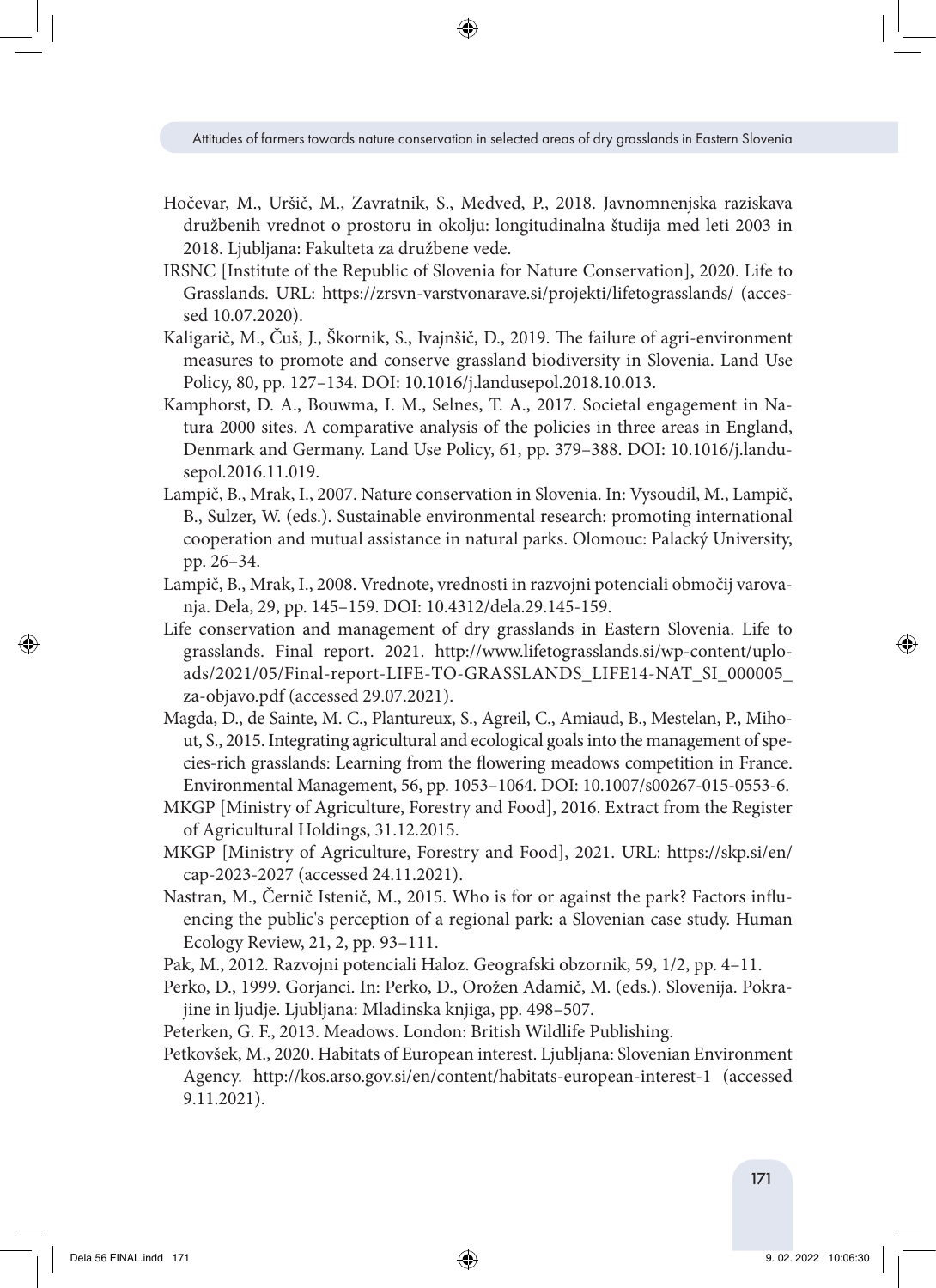- Hočevar, M., Uršič, M., Zavratnik, S., Medved, P., 2018. Javnomnenjska raziskava družbenih vrednot o prostoru in okolju: longitudinalna študija med leti 2003 in 2018. Ljubljana: Fakulteta za družbene vede.
- IRSNC [Institute of the Republic of Slovenia for Nature Conservation], 2020. Life to Grasslands. URL: <https://zrsvn-varstvonarave.si/projekti/lifetograsslands/>(accessed 10.07.2020).
- Kaligarič, M., Čuš, J., Škornik, S., Ivajnšič, D., 2019. The failure of agri-environment measures to promote and conserve grassland biodiversity in Slovenia. Land Use Policy, 80, pp. 127–134. DOI: [10.1016/j.landusepol.2018.10.013.](https://doi.org/10.1016/j.landusepol.2018.10.013)
- Kamphorst, D. A., Bouwma, I. M., Selnes, T. A., 2017. Societal engagement in Natura 2000 sites. A comparative analysis of the policies in three areas in England, Denmark and Germany. Land Use Policy, 61, pp. 379–388. DOI: 10.1016/j.landusepol.2016.11.019.
- Lampič, B., Mrak, I., 2007. Nature conservation in Slovenia. In: Vysoudil, M., Lampič, B., Sulzer, W. (eds.). Sustainable environmental research: promoting international cooperation and mutual assistance in natural parks. Olomouc: Palacký University, pp. 26–34.
- Lampič, B., Mrak, I., 2008. Vrednote, vrednosti in razvojni potenciali območij varovanja. Dela, 29, pp. 145–159. DOI: 10.4312/dela.29.145-159.
- Life conservation and management of dry grasslands in Eastern Slovenia. Life to grasslands. Final report. 2021. [http://www.lifetograsslands.si/wp-content/uplo](http://www.lifetograsslands.si/wp-content/uploads/2021/05/Final-report-)[ads/2021/05/Final-report-](http://www.lifetograsslands.si/wp-content/uploads/2021/05/Final-report-)[LIFE-TO-GRASSLANDS\\_LIFE14-NAT\\_SI\\_000005\\_](http://www.lifetograsslands.si/wp-content/uploads/2021/05/Final-report-LIFE-TO-GRASSLANDS_LIFE14-NAT_SI_000005_za-objavo.pdf) [za-objavo.pdf](http://www.lifetograsslands.si/wp-content/uploads/2021/05/Final-report-LIFE-TO-GRASSLANDS_LIFE14-NAT_SI_000005_za-objavo.pdf) (accessed 29.07.2021).
- [Magda,](https://link.springer.com/article/10.1007/s00267-015-0553-6#auth-Dani_le-Magda) D., [de Sainte, M.](https://link.springer.com/article/10.1007/s00267-015-0553-6#auth-Christine-Sainte_Marie) C.[, Plantureux,](https://link.springer.com/article/10.1007/s00267-015-0553-6#auth-Sylvain-Plantureux) S., [Agreil,](https://link.springer.com/article/10.1007/s00267-015-0553-6#auth-Cyril-Agreil) C., [Amiaud](https://link.springer.com/article/10.1007/s00267-015-0553-6#auth-Bernard-Amiaud), B., [Mestelan,](https://link.springer.com/article/10.1007/s00267-015-0553-6#auth-Philippe-Mestelan) P., [Miho](https://link.springer.com/article/10.1007/s00267-015-0553-6#auth-Sarah-Mihout)[ut](https://link.springer.com/article/10.1007/s00267-015-0553-6#auth-Sarah-Mihout), S., 2015. Integrating agricultural and ecological goals into the management of species-rich grasslands: Learning from the flowering meadows competition in France. Environmental Management, 56, pp. 1053–1064. DOI: 10.1007/s00267-015-0553-6.
- MKGP [Ministry of Agriculture, Forestry and Food], 2016. Extract from the Register of Agricultural Holdings, 31.12.2015.
- MKGP [Ministry of Agriculture, Forestry and Food], 2021. URL: https://skp.si/en/ cap-2023-2027 (accessed 24.11.2021).
- Nastran, M., Černič Istenič, M., 2015. Who is for or against the park? Factors influencing the public's perception of a regional park: a Slovenian case study. Human Ecology Review, 21, 2, pp. 93–111.
- Pak, M., 2012. Razvojni potenciali Haloz. Geografski obzornik, 59, 1/2, pp. 4–11.
- Perko, D., 1999. Gorjanci. In: Perko, D., Orožen Adamič, M. (eds.). Slovenija. Pokrajine in ljudje. Ljubljana: Mladinska knjiga, pp. 498–507.
- Peterken, G. F., 2013. Meadows. London: British Wildlife Publishing.
- Petkovšek, M., 2020. Habitats of European interest. Ljubljana: Slovenian Environment Agency. <http://kos.arso.gov.si/en/content/habitats-european-interest-1> (accessed 9.11.2021).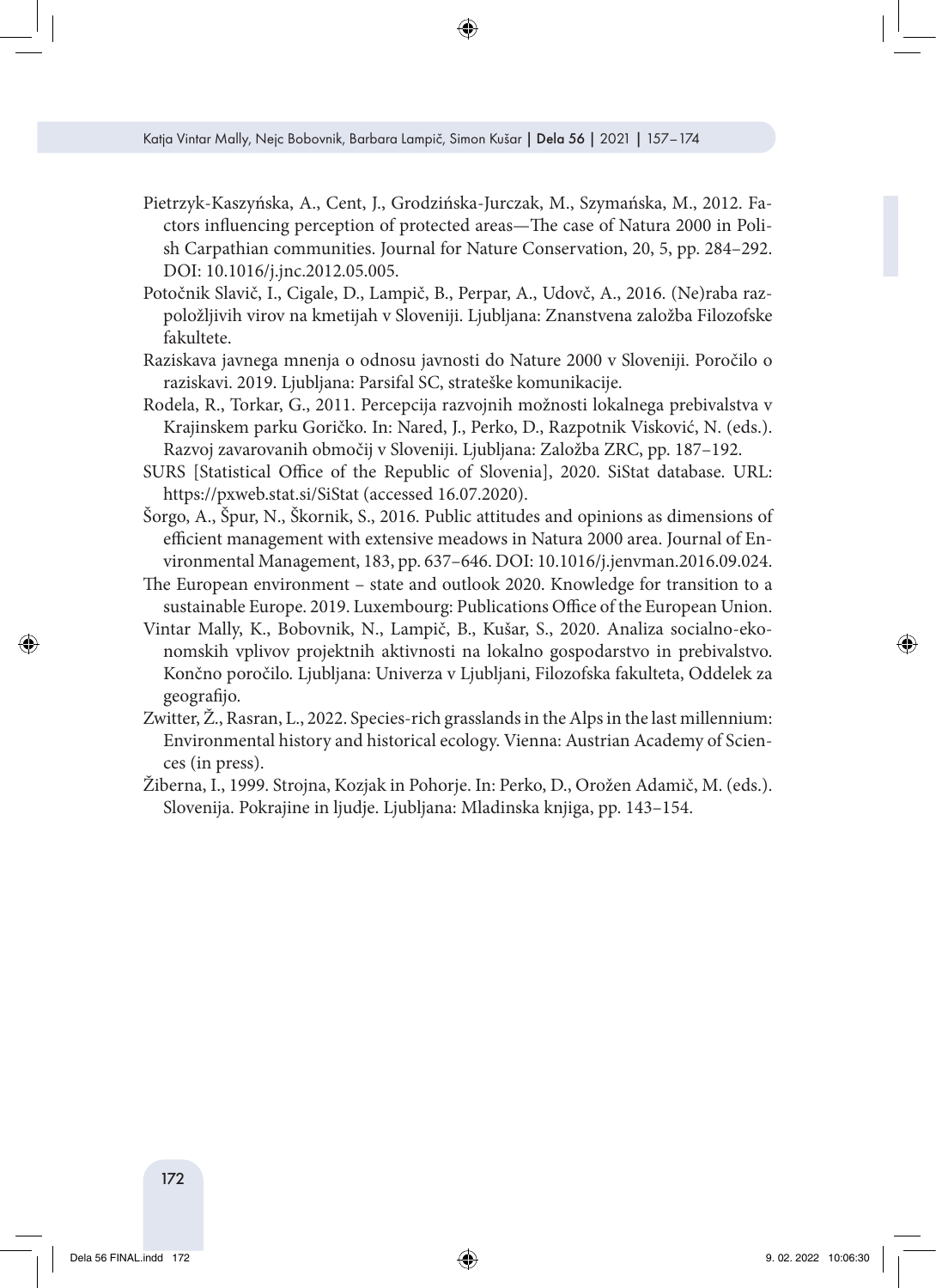- Pietrzyk-Kaszyńska, A., Cent, J., Grodzińska-Jurczak, M., Szymańska, M., 2012. Factors influencing perception of protected areas—The case of Natura 2000 in Polish Carpathian communities. Journal for Nature Conservation, 20, 5, pp. 284–292. DOI: [10.1016/j.jnc.2012.05.005.](http://dx.doi.org/10.1016/j.jnc.2012.05.005)
- Potočnik Slavič, I., Cigale, D., Lampič, B., Perpar, A., Udovč, A., 2016. (Ne)raba razpoložljivih virov na kmetijah v Sloveniji. Ljubljana: Znanstvena založba Filozofske fakultete.
- Raziskava javnega mnenja o odnosu javnosti do Nature 2000 v Sloveniji. Poročilo o raziskavi. 2019. Ljubljana: Parsifal SC, strateške komunikacije.
- Rodela, R., Torkar, G., 2011. Percepcija razvojnih možnosti lokalnega prebivalstva v Krajinskem parku Goričko. In: Nared, J., Perko, D., Razpotnik Visković, N. (eds.). Razvoj zavarovanih območij v Sloveniji. Ljubljana: Založba ZRC, pp. 187–192.
- SURS [Statistical Office of the Republic of Slovenia], 2020. SiStat database. URL: https://pxweb.stat.si/SiStat (accessed 16.07.2020).
- Šorgo, A., Špur, N., Škornik, S., 2016. Public attitudes and opinions as dimensions of efficient management with extensive meadows in Natura 2000 area. Journal of Environmental Management, 183, pp. 637–646. DOI: [10.1016/j.jenvman.2016.09.024.](http://dx.doi.org/10.1016/j.jenvman.2016.09.024)
- The European environment state and outlook 2020. Knowledge for transition to a sustainable Europe. 2019. Luxembourg: Publications Office of the European Union.
- Vintar Mally, K., Bobovnik, N., Lampič, B., Kušar, S., 2020. Analiza socialno-ekonomskih vplivov projektnih aktivnosti na lokalno gospodarstvo in prebivalstvo. Končno poročilo. Ljubljana: Univerza v Ljubljani, Filozofska fakulteta, Oddelek za geografijo.
- Zwitter, Ž., Rasran, L., 2022. Species-rich grasslands in the Alps in the last millennium: Environmental history and historical ecology. Vienna: Austrian Academy of Sciences (in press).
- Žiberna, I., 1999. Strojna, Kozjak in Pohorje. In: Perko, D., Orožen Adamič, M. (eds.). Slovenija. Pokrajine in ljudje. Ljubljana: Mladinska knjiga, pp. 143–154.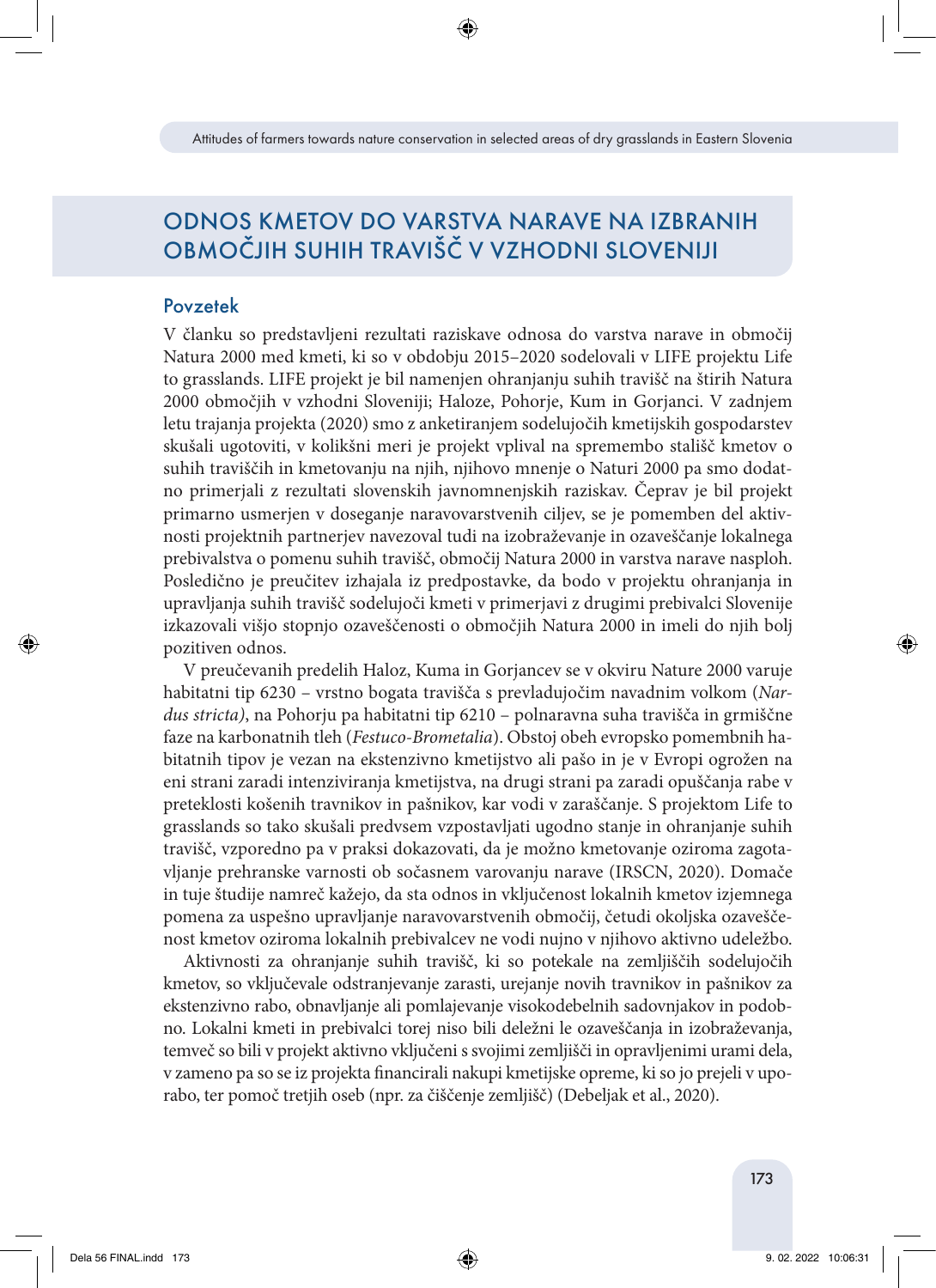# ODNOS KMETOV DO VARSTVA NARAVE NA IZBRANIH OBMOČJIH SUHIH TRAVIŠČ V VZHODNI SLOVENIJI

### Povzetek

V članku so predstavljeni rezultati raziskave odnosa do varstva narave in območij Natura 2000 med kmeti, ki so v obdobju 2015–2020 sodelovali v LIFE projektu Life to grasslands. LIFE projekt je bil namenjen ohranjanju suhih travišč na štirih Natura 2000 območjih v vzhodni Sloveniji; Haloze, Pohorje, Kum in Gorjanci. V zadnjem letu trajanja projekta (2020) smo z anketiranjem sodelujočih kmetijskih gospodarstev skušali ugotoviti, v kolikšni meri je projekt vplival na spremembo stališč kmetov o suhih traviščih in kmetovanju na njih, njihovo mnenje o Naturi 2000 pa smo dodatno primerjali z rezultati slovenskih javnomnenjskih raziskav. Čeprav je bil projekt primarno usmerjen v doseganje naravovarstvenih ciljev, se je pomemben del aktivnosti projektnih partnerjev navezoval tudi na izobraževanje in ozaveščanje lokalnega prebivalstva o pomenu suhih travišč, območij Natura 2000 in varstva narave nasploh. Posledično je preučitev izhajala iz predpostavke, da bodo v projektu ohranjanja in upravljanja suhih travišč sodelujoči kmeti v primerjavi z drugimi prebivalci Slovenije izkazovali višjo stopnjo ozaveščenosti o območjih Natura 2000 in imeli do njih bolj pozitiven odnos.

V preučevanih predelih Haloz, Kuma in Gorjancev se v okviru Nature 2000 varuje habitatni tip 6230 – vrstno bogata travišča s prevladujočim navadnim volkom (*Nardus stricta)*, na Pohorju pa habitatni tip 6210 – polnaravna suha travišča in grmiščne faze na karbonatnih tleh (*Festuco-Brometalia*). Obstoj obeh evropsko pomembnih habitatnih tipov je vezan na ekstenzivno kmetijstvo ali pašo in je v Evropi ogrožen na eni strani zaradi intenziviranja kmetijstva, na drugi strani pa zaradi opuščanja rabe v preteklosti košenih travnikov in pašnikov, kar vodi v zaraščanje. S projektom Life to grasslands so tako skušali predvsem vzpostavljati ugodno stanje in ohranjanje suhih travišč, vzporedno pa v praksi dokazovati, da je možno kmetovanje oziroma zagotavljanje prehranske varnosti ob sočasnem varovanju narave (IRSCN, 2020). Domače in tuje študije namreč kažejo, da sta odnos in vključenost lokalnih kmetov izjemnega pomena za uspešno upravljanje naravovarstvenih območij, četudi okoljska ozaveščenost kmetov oziroma lokalnih prebivalcev ne vodi nujno v njihovo aktivno udeležbo.

Aktivnosti za ohranjanje suhih travišč, ki so potekale na zemljiščih sodelujočih kmetov, so vključevale odstranjevanje zarasti, urejanje novih travnikov in pašnikov za ekstenzivno rabo, obnavljanje ali pomlajevanje visokodebelnih sadovnjakov in podobno. Lokalni kmeti in prebivalci torej niso bili deležni le ozaveščanja in izobraževanja, temveč so bili v projekt aktivno vključeni s svojimi zemljišči in opravljenimi urami dela, v zameno pa so se iz projekta financirali nakupi kmetijske opreme, ki so jo prejeli v uporabo, ter pomoč tretjih oseb (npr. za čiščenje zemljišč) (Debeljak et al., 2020).